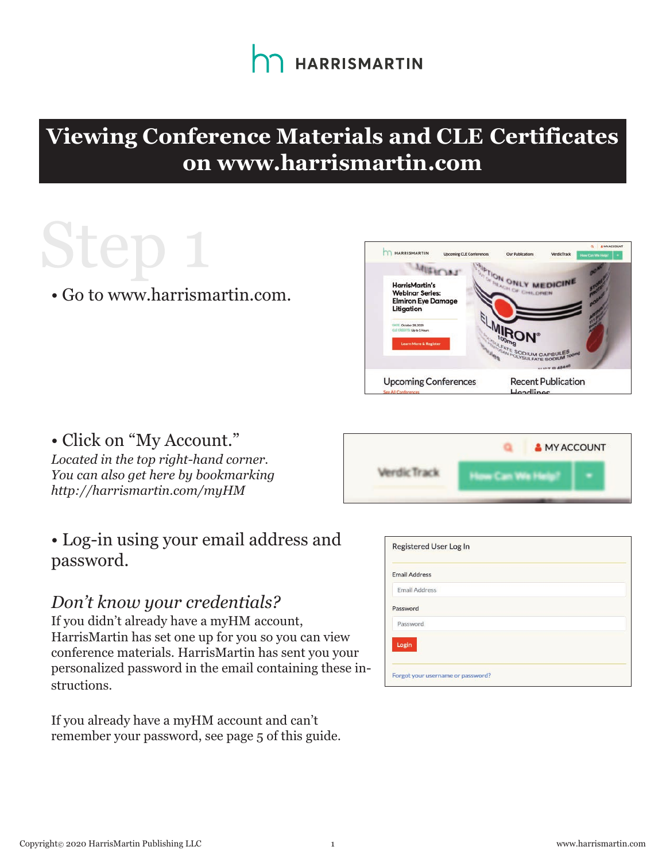

#### **Viewing Conference Materials and CLE Certificates on www.harrismartin.com**

### Step

• Go to www.harrismartin.com.



• Click on "My Account." *Located in the top right-hand corner. You can also get here by bookmarking http://harrismartin.com/myHM*

#### • Log-in using your email address and password.

#### *Don't know your credentials?*

If you didn't already have a myHM account, HarrisMartin has set one up for you so you can view conference materials. HarrisMartin has sent you your personalized password in the email containing these instructions.

If you already have a myHM account and can't remember your password, see page 5 of this guide.

| <b>MY ACCOUNT</b> |
|-------------------|
|                   |

| Registered User Log In            |  |
|-----------------------------------|--|
| <b>Email Address</b>              |  |
| <b>Email Address</b>              |  |
| Password                          |  |
| Password                          |  |
| Login                             |  |
|                                   |  |
| Forgot your username or password? |  |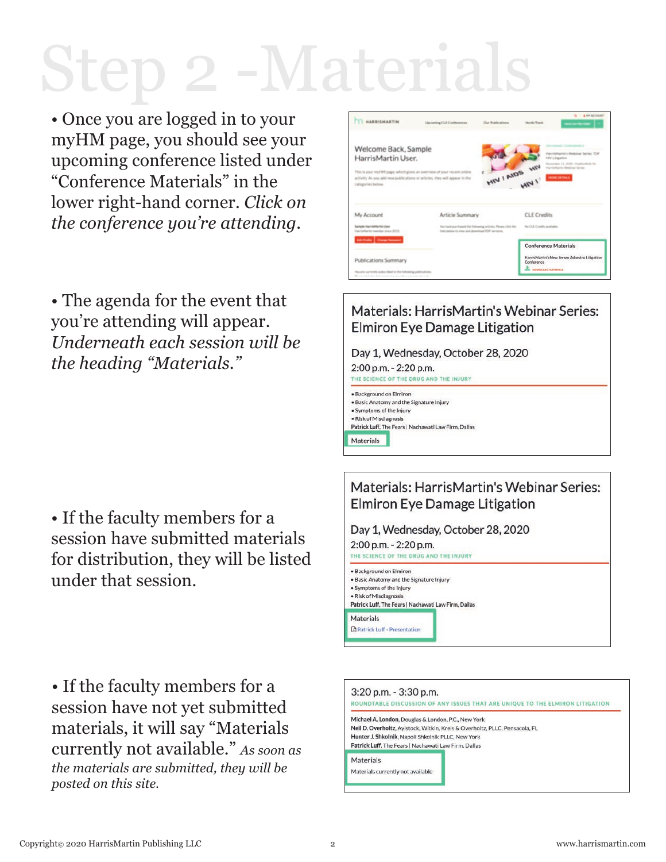### Step 2-Materia

• Once you are logged in to your myHM page, you should see your upcoming conference listed under "Conference Materials" in the lower right-hand corner. *Click on the conference you're attending.*

• The agenda for the event that you're attending will appear. *Underneath each session will be the heading "Materials."*

• If the faculty members for a session have submitted materials for distribution, they will be listed under that session.

• If the faculty members for a session have not yet submitted materials, it will say "Materials currently not available." *As soon as the materials are submitted, they will be posted on this site.*



#### Materials: HarrisMartin's Webinar Series: **Elmiron Eye Damage Litigation**

Day 1, Wednesday, October 28, 2020

2:00 p.m. - 2:20 p.m. THE SCIENCE OF THE DRUG AND THE INJURY

· Background on Elmiron .<br>Basic Anatomy and the Signature Injury · Symptoms of the Injury · Risk of Misdiagnosis Patrick Luff, The Fears | Nachawati Law Firm, Dallas Materials

#### Materials: HarrisMartin's Webinar Series: **Elmiron Eye Damage Litigation**

Day 1, Wednesday, October 28, 2020 2:00 p.m. - 2:20 p.m. THE SCIENCE OF THE DRUG AND THE INJURY · Background on Elmiron . Basic Anatomy and the Signature Injury · Symptoms of the Injury

· Risk of Misdiagnosis Patrick Luff. The Fears | Nachawati Law Firm, Dallas Materials **A** Patrick Luff - Presentatio

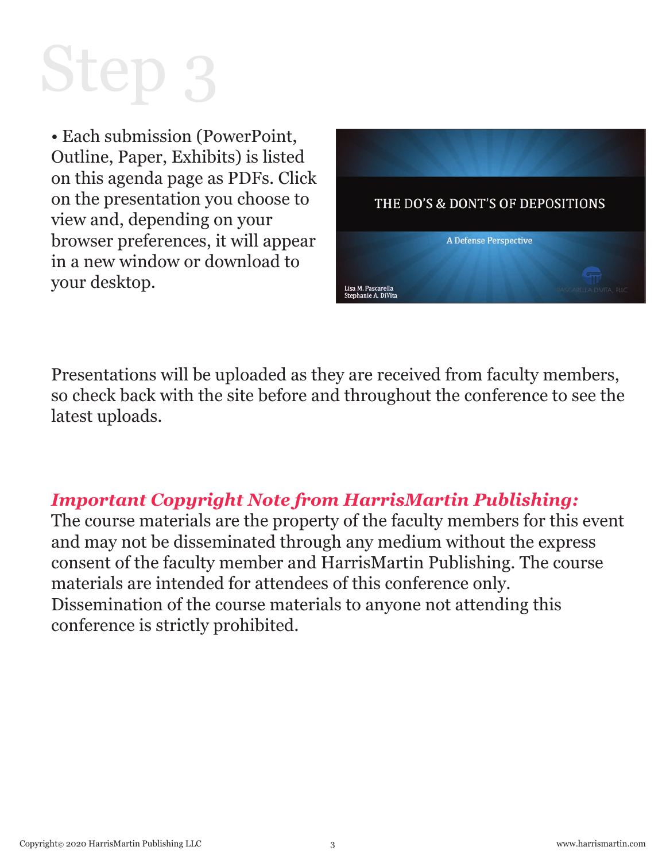# Step 3

• Each submission (PowerPoint, Outline, Paper, Exhibits) is listed on this agenda page as PDFs. Click on the presentation you choose to view and, depending on your browser preferences, it will appear in a new window or download to your desktop.



Presentations will be uploaded as they are received from faculty members, so check back with the site before and throughout the conference to see the latest uploads.

#### *Important Copyright Note from HarrisMartin Publishing:*

The course materials are the property of the faculty members for this event and may not be disseminated through any medium without the express consent of the faculty member and HarrisMartin Publishing. The course materials are intended for attendees of this conference only. Dissemination of the course materials to anyone not attending this conference is strictly prohibited.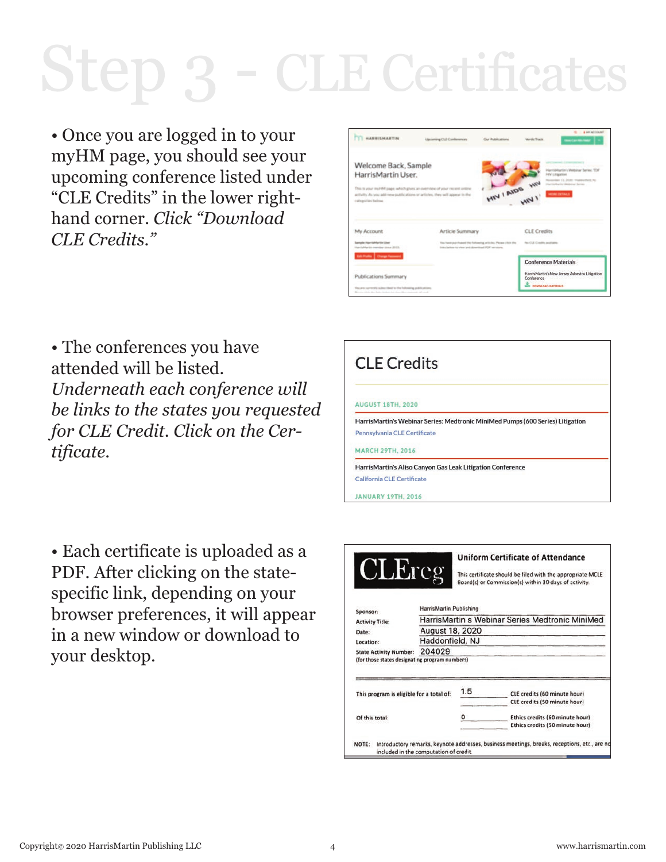### Step 3 - CLE Certificates

• Once you are logged in to your myHM page, you should see your upcoming conference listed under "CLE Credits" in the lower righthand corner. *Click "Download CLE Credits."*

| <b>HARRISMARTIN</b>                                                                                                                                                        | Lipsterning CLE Conferencies<br>Clus Problemines                                                                  | <b>IL &amp; AP ACCOUNT</b><br><b>Wendie Track</b><br><b>Service Manager</b>                                |
|----------------------------------------------------------------------------------------------------------------------------------------------------------------------------|-------------------------------------------------------------------------------------------------------------------|------------------------------------------------------------------------------------------------------------|
| Welcome Back, Sample<br>HarrisMartin User.                                                                                                                                 |                                                                                                                   | Harrishhartin's Webisar Series, TDI<br><b>Ind'a' Littleamient</b>                                          |
| This is your myHB4 page, which gives an diverview of your recent ordine.<br>activity. As you add new publications or articles, they will appear in the<br>cabigo/including |                                                                                                                   | November 11, 2020 - Northerford NJ<br>HIV LAIDS HIV<br>Harrishlanks Western Service<br><b>MEMI DETAILS</b> |
| My Account                                                                                                                                                                 | Article Summary                                                                                                   | <b>CLE</b> Credits                                                                                         |
| <b>Sample Harrishka/Sic User</b><br>righterin namber (inne 2013)                                                                                                           | You have purchased the fullowing articles. Please citch the<br>from Indian to obtain and domestical PDF curvices. | No CGE Conditionariately                                                                                   |
| <b>SELFING Clarge Fassent</b>                                                                                                                                              |                                                                                                                   | <b>Conference Materials</b>                                                                                |
| Publications Summary                                                                                                                                                       |                                                                                                                   | HarrisMartin's New Jersey Asbestos Litigation<br>Conference                                                |
| You are currently subscribed to the following auditostices                                                                                                                 |                                                                                                                   | <b>BUT DOWNLOAD MATERIALS</b>                                                                              |

• The conferences you have attended will be listed. *Underneath each conference will be links to the states you requested for CLE Credit. Click on the Certificate.* 

• Each certificate is uploaded as a PDF. After clicking on the statespecific link, depending on your browser preferences, it will appear in a new window or download to your desktop.

| <b>CLE Credits</b>                                                             |  |
|--------------------------------------------------------------------------------|--|
| <b>AUGUST 18TH, 2020</b>                                                       |  |
| HarrisMartin's Webinar Series: Medtronic MiniMed Pumps (600 Series) Litigation |  |
| Pennsylvania CLE Certificate                                                   |  |
| <b>MARCH 29TH, 2016</b>                                                        |  |
| HarrisMartin's Aliso Canyon Gas Leak Litigation Conference                     |  |
| California CLE Certificate                                                     |  |
| <b>JANUARY 19TH, 2016</b>                                                      |  |

| <b>CLE</b> reg                           |                                        |     | <b>Uniform Certificate of Attendance</b><br>This certificate should be filed with the appropriate MCLE<br>Board(s) or Commission(s) within 30 days of activity. |
|------------------------------------------|----------------------------------------|-----|-----------------------------------------------------------------------------------------------------------------------------------------------------------------|
| Sponsor:                                 | HarrisMartin Publishing                |     | HarrisMartin s Webinar Series Medtronic MiniMed                                                                                                                 |
| <b>Activity Title:</b>                   |                                        |     |                                                                                                                                                                 |
| Date:                                    | <b>August 18, 2020</b>                 |     |                                                                                                                                                                 |
| Location:                                | Haddonfield, NJ                        |     |                                                                                                                                                                 |
| <b>State Activity Number:</b>            | 204029                                 |     |                                                                                                                                                                 |
| This program is eligible for a total of: |                                        | 1.5 | CLE credits (60 minute hour)<br>CLE credits (50 minute hour)                                                                                                    |
| Of this total:                           |                                        |     | Ethics credits (60 minute hour)<br>Ethics credits (50 minute hour)                                                                                              |
| NOTE:                                    | included in the computation of credit. |     | Introductory remarks, keynote addresses, business meetings, breaks, receptions, etc., are no                                                                    |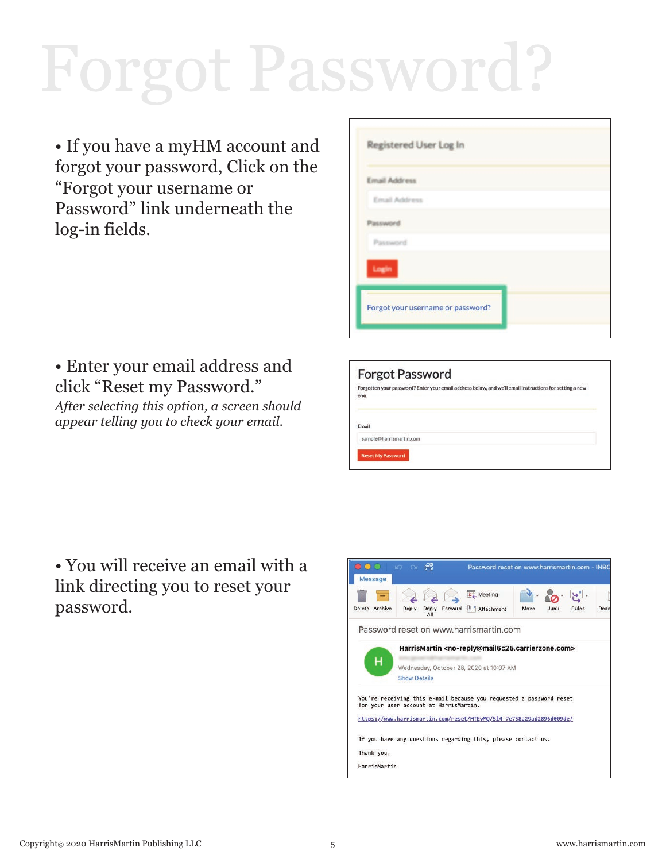## Forgot Password?

• If you have a myHM account and forgot your password, Click on the "Forgot your username or Password" link underneath the log-in fields*.*

#### • Enter your email address and click "Reset my Password."

*After selecting this option, a screen should appear telling you to check your email.*

| <b>Email Address</b> |  |  |
|----------------------|--|--|
| Email Address        |  |  |
| Password             |  |  |
| Password             |  |  |
| Login                |  |  |

| Forgotten your password? Enter your email address below, and we'll email instructions for setting a new<br>one.<br>Email |
|--------------------------------------------------------------------------------------------------------------------------|
|                                                                                                                          |
|                                                                                                                          |

• You will receive an email with a link directing you to reset your password.